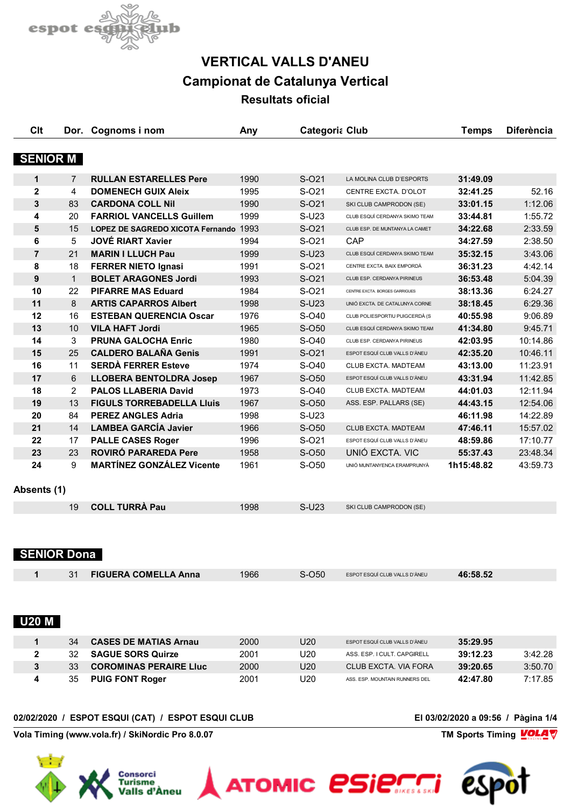

| <b>SENIOR M</b><br>$\overline{7}$<br>4<br>83<br>20<br>15<br>5<br>21 | <b>RULLAN ESTARELLES Pere</b><br><b>DOMENECH GUIX Aleix</b><br><b>CARDONA COLL Nil</b> | 1990<br>1995                                                                                                             | $S-021$      | LA MOLINA CLUB D'ESPORTS         | 31:49.09        |                                  |
|---------------------------------------------------------------------|----------------------------------------------------------------------------------------|--------------------------------------------------------------------------------------------------------------------------|--------------|----------------------------------|-----------------|----------------------------------|
|                                                                     |                                                                                        |                                                                                                                          |              |                                  |                 |                                  |
|                                                                     |                                                                                        |                                                                                                                          |              |                                  |                 |                                  |
|                                                                     |                                                                                        |                                                                                                                          |              |                                  |                 |                                  |
|                                                                     |                                                                                        |                                                                                                                          | S-021        | CENTRE EXCTA. D'OLOT             | 32:41.25        | 52.16                            |
|                                                                     |                                                                                        | 1990                                                                                                                     | S-021        | SKI CLUB CAMPRODON (SE)          | 33:01.15        | 1:12.06                          |
|                                                                     | <b>FARRIOL VANCELLS Guillem</b>                                                        | 1999                                                                                                                     | $S-U23$      | CLUB ESQUÍ CERDANYA SKIMO TEAM   | 33:44.81        | 1:55.72                          |
|                                                                     | LOPEZ DE SAGREDO XICOTA Fernando 1993                                                  |                                                                                                                          | S-021        | CLUB ESP. DE MUNTANYA LA CAMET   | 34:22.68        | 2:33.59                          |
|                                                                     | <b>JOVÉ RIART Xavier</b>                                                               | 1994                                                                                                                     | S-021        | CAP                              | 34:27.59        | 2:38.50                          |
|                                                                     | <b>MARIN I LLUCH Pau</b>                                                               | 1999                                                                                                                     | $S-U23$      | CLUB ESQUÍ CERDANYA SKIMO TEAM   | 35:32.15        | 3:43.06                          |
| 18                                                                  | <b>FERRER NIETO Ignasi</b>                                                             | 1991                                                                                                                     | S-021        | CENTRE EXCTA. BAIX EMPORDÀ       | 36:31.23        | 4:42.14                          |
| $\mathbf{1}$                                                        | <b>BOLET ARAGONES Jordi</b>                                                            | 1993                                                                                                                     | S-021        | CLUB ESP. CERDANYA PIRINEUS      | 36:53.48        | 5:04.39                          |
| 22                                                                  | <b>PIFARRE MAS Eduard</b>                                                              | 1984                                                                                                                     | S-021        | CENTRE EXCTA. BORGES GARRIGUES   | 38:13.36        | 6:24.27                          |
| 8                                                                   | <b>ARTIS CAPARROS Albert</b>                                                           | 1998                                                                                                                     | $S-U23$      | UNIÓ EXCTA. DE CATALUNYA CORNE   | 38:18.45        | 6:29.36                          |
| 16                                                                  | <b>ESTEBAN QUERENCIA Oscar</b>                                                         | 1976                                                                                                                     | S-040        | CLUB POLIESPORTIU PUIGCERDÀ (S   | 40:55.98        | 9:06.89                          |
| 10                                                                  | <b>VILA HAFT Jordi</b>                                                                 | 1965                                                                                                                     | S-O50        | CLUB ESQUÍ CERDANYA SKIMO TEAM   | 41:34.80        | 9:45.71                          |
| 3                                                                   | <b>PRUNA GALOCHA Enric</b>                                                             | 1980                                                                                                                     | S-040        | CLUB ESP. CERDANYA PIRINEUS      | 42:03.95        | 10:14.86                         |
| 25                                                                  | <b>CALDERO BALAÑA Genis</b>                                                            | 1991                                                                                                                     | S-021        | ESPOT ESQUÍ CLUB VALLS D'ÀNEU    | 42:35.20        | 10:46.11                         |
| 11                                                                  | <b>SERDÀ FERRER Esteve</b>                                                             | 1974                                                                                                                     | S-040        | CLUB EXCTA, MADTEAM              | 43:13.00        | 11:23.91                         |
| 6                                                                   |                                                                                        | 1967                                                                                                                     | S-050        | ESPOT ESQUÍ CLUB VALLS D'ÀNEU    | 43:31.94        | 11:42.85                         |
| 2                                                                   | <b>PALOS LLABERIA David</b>                                                            | 1973                                                                                                                     | S-040        | CLUB EXCTA. MADTEAM              | 44:01.03        | 12:11.94                         |
| 13                                                                  | <b>FIGULS TORREBADELLA Lluis</b>                                                       | 1967                                                                                                                     |              | ASS. ESP. PALLARS (SE)           |                 | 12:54.06                         |
| 84                                                                  | <b>PEREZ ANGLES Adria</b>                                                              | 1998                                                                                                                     | $S-U23$      |                                  | 46:11.98        | 14:22.89                         |
| 14                                                                  |                                                                                        |                                                                                                                          |              | CLUB EXCTA, MADTEAM              |                 | 15:57.02                         |
| 17                                                                  |                                                                                        |                                                                                                                          |              | ESPOT ESQUÍ CLUB VALLS D'ÀNEU    |                 | 17:10.77                         |
| 23                                                                  |                                                                                        | 1958                                                                                                                     |              |                                  | 55:37.43        | 23:48.34                         |
| 9                                                                   | <b>MARTÍNEZ GONZÁLEZ Vicente</b>                                                       | 1961                                                                                                                     | S-050        | UNIÓ MUNTANYENCA ERAMPRUNYÀ      | 1h15:48.82      | 43:59.73                         |
|                                                                     |                                                                                        |                                                                                                                          |              |                                  |                 |                                  |
| 19                                                                  | <b>COLL TURRÀ Pau</b>                                                                  | 1998                                                                                                                     | $S-U23$      | SKI CLUB CAMPRODON (SE)          |                 |                                  |
|                                                                     |                                                                                        | <b>LLOBERA BENTOLDRA Josep</b><br><b>LAMBEA GARCÍA Javier</b><br><b>PALLE CASES Roger</b><br><b>ROVIRÓ PARAREDA Pere</b> | 1966<br>1996 | S-O50<br>S-050<br>S-021<br>S-O50 | UNIÓ EXCTA. VIC | 44:43.15<br>47:46.11<br>48:59.86 |

| 31 FIGUERA COMELLA Anna | 1966 | S-O50 | ESPOT ESQUÍ CLUB VALLS D'ÀNEU | 46:58.52 |  |
|-------------------------|------|-------|-------------------------------|----------|--|
|                         |      |       |                               |          |  |

### **U20 M**

| 34  | <b>CASES DE MATIAS Arnau</b>  | 2000 | U20  | ESPOT ESQUÍ CLUB VALLS D'ÀNEU  | 35:29.95 |         |
|-----|-------------------------------|------|------|--------------------------------|----------|---------|
| 32. | <b>SAGUE SORS Quirze</b>      | 2001 | U20  | ASS, ESP. I CULT, CAPGIRELL    | 39:12.23 | 3:42.28 |
| 33  | <b>COROMINAS PERAIRE LIUC</b> | 2000 | U20. | CLUB EXCTA, VIA FORA           | 39:20.65 | 3:50.70 |
| 35  | <b>PUIG FONT Roger</b>        | 2001 | U20  | ASS. ESP. MOUNTAIN RUNNERS DEL | 42:47.80 | 7:17.85 |

#### **02/02/2020 / ESPOT ESQUI (CAT) / ESPOT ESQUI CLUB El 03/02/2020 a 09:56 / Pàgina 1/4**

**Vola Timing (www.vola.fr) / SkiNordic Pro 8.0.07 TM Sports Timing VOLAT** 



**VolaSoftControlPdf**



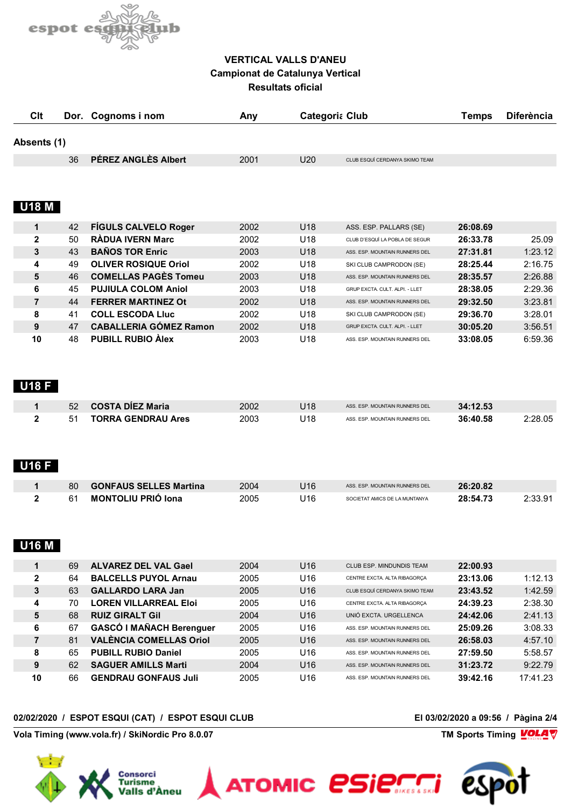

| Clt                          | Dor. | Cognoms i nom                   | Any  |     | <b>Categoria Club</b>          | <b>Temps</b> | <b>Diferència</b> |
|------------------------------|------|---------------------------------|------|-----|--------------------------------|--------------|-------------------|
| Absents (1)                  |      |                                 |      |     |                                |              |                   |
|                              | 36   | PÉREZ ANGLÈS Albert             | 2001 | U20 | CLUB ESQUÍ CERDANYA SKIMO TEAM |              |                   |
| <b>U18 M</b>                 |      |                                 |      |     |                                |              |                   |
| 1                            | 42   | <b>FÍGULS CALVELO Roger</b>     | 2002 | U18 | ASS. ESP. PALLARS (SE)         | 26:08.69     |                   |
| $\mathbf 2$                  | 50   | <b>RÀDUA IVERN Marc</b>         | 2002 | U18 | CLUB D'ESQUÍ LA POBLA DE SEGUR | 26:33.78     | 25.09             |
| 3                            | 43   | <b>BAÑOS TOR Enric</b>          | 2003 | U18 | ASS. ESP. MOUNTAIN RUNNERS DEL | 27:31.81     | 1:23.12           |
| 4                            | 49   | <b>OLIVER ROSIQUE Oriol</b>     | 2002 | U18 | SKI CLUB CAMPRODON (SE)        | 28:25.44     | 2:16.75           |
| 5                            | 46   | <b>COMELLAS PAGÈS Tomeu</b>     | 2003 | U18 | ASS. ESP. MOUNTAIN RUNNERS DEL | 28:35.57     | 2:26.88           |
| 6                            | 45   | <b>PUJIULA COLOM Aniol</b>      | 2003 | U18 | GRUP EXCTA. CULT. ALPI. - LLET | 28:38.05     | 2:29.36           |
| $\overline{7}$               | 44   | <b>FERRER MARTINEZ Ot</b>       | 2002 | U18 | ASS. ESP. MOUNTAIN RUNNERS DEL | 29:32.50     | 3:23.81           |
| 8                            | 41   | <b>COLL ESCODA Lluc</b>         | 2002 | U18 | SKI CLUB CAMPRODON (SE)        | 29:36.70     | 3:28.01           |
| 9                            | 47   | <b>CABALLERIA GÓMEZ Ramon</b>   | 2002 | U18 | GRUP EXCTA. CULT. ALPI. - LLET | 30:05.20     | 3:56.51           |
| 10                           | 48   | <b>PUBILL RUBIO Alex</b>        | 2003 | U18 | ASS. ESP. MOUNTAIN RUNNERS DEL | 33:08.05     | 6:59.36           |
| <b>U18 F</b>                 |      |                                 |      |     |                                |              |                   |
| 1                            | 52   | <b>COSTA DÍEZ Maria</b>         | 2002 | U18 | ASS. ESP. MOUNTAIN RUNNERS DEL | 34:12.53     |                   |
| $\mathbf{2}$<br><b>U16 F</b> | 51   | <b>TORRA GENDRAU Ares</b>       | 2003 | U18 | ASS. ESP. MOUNTAIN RUNNERS DEL | 36:40.58     | 2:28.05           |
| 1                            | 80   | <b>GONFAUS SELLES Martina</b>   | 2004 | U16 | ASS. ESP. MOUNTAIN RUNNERS DEL | 26:20.82     |                   |
| $\mathbf{2}$                 | 61   | <b>MONTOLIU PRIÓ Iona</b>       | 2005 | U16 | SOCIETAT AMICS DE LA MUNTANYA  | 28:54.73     | 2:33.91           |
| <b>U16 M</b>                 |      |                                 |      |     |                                |              |                   |
| 1                            | 69   | <b>ALVAREZ DEL VAL Gael</b>     | 2004 | U16 | CLUB ESP. MINDUNDIS TEAM       | 22:00.93     |                   |
| $\boldsymbol{2}$             | 64   | <b>BALCELLS PUYOL Arnau</b>     | 2005 | U16 | CENTRE EXCTA. ALTA RIBAGORÇA   | 23:13.06     | 1:12.13           |
| $\mathbf{3}$                 | 63   | <b>GALLARDO LARA Jan</b>        | 2005 | U16 | CLUB ESQUÍ CERDANYA SKIMO TEAM | 23:43.52     | 1:42.59           |
| 4                            | 70   | <b>LOREN VILLARREAL Eloi</b>    | 2005 | U16 | CENTRE EXCTA. ALTA RIBAGORCA   | 24:39.23     | 2:38.30           |
| 5                            | 68   | <b>RUIZ GIRALT Gil</b>          | 2004 | U16 | UNIÓ EXCTA. URGELLENCA         | 24:42.06     | 2:41.13           |
| 6                            | 67   | <b>GASCÓ I MAÑACH Berenguer</b> | 2005 | U16 | ASS. ESP. MOUNTAIN RUNNERS DEL | 25:09.26     | 3:08.33           |
| $\overline{7}$               | 81   | <b>VALÈNCIA COMELLAS Oriol</b>  | 2005 | U16 | ASS. ESP. MOUNTAIN RUNNERS DEL | 26:58.03     | 4:57.10           |
| 8                            | 65   | <b>PUBILL RUBIO Daniel</b>      | 2005 | U16 | ASS. ESP. MOUNTAIN RUNNERS DEL | 27:59.50     | 5:58.57           |
|                              | 62   | <b>SAGUER AMILLS Marti</b>      | 2004 | U16 | ASS. ESP. MOUNTAIN RUNNERS DEL | 31:23.72     | 9:22.79           |
| 9                            |      |                                 | 2005 | U16 |                                | 39:42.16     | 17:41.23          |

**Vola Timing (www.vola.fr) / SkiNordic Pro 8.0.07 TM Sports Timing VOLA** 



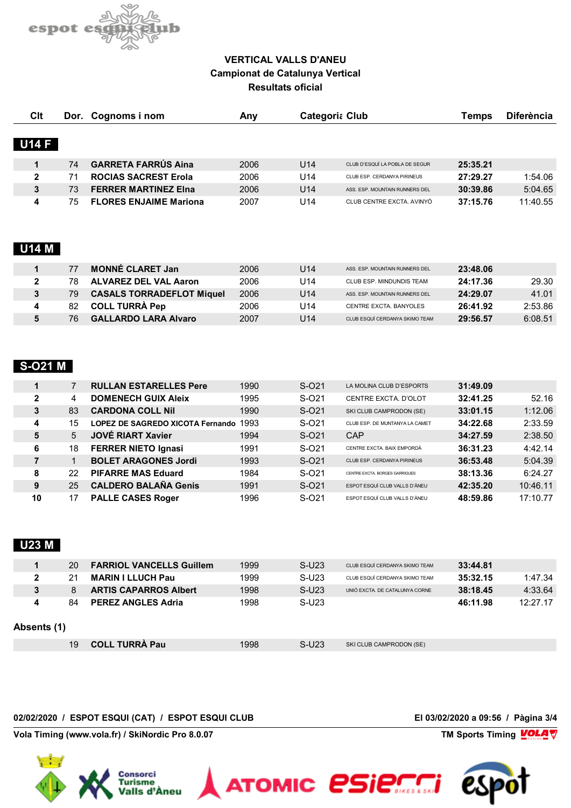

| <b>Clt</b>   |    | Dor. Cognoms i nom            | Any  | <b>Categoria Club</b> |                                 | Temps    | <b>Diferència</b> |
|--------------|----|-------------------------------|------|-----------------------|---------------------------------|----------|-------------------|
|              |    |                               |      |                       |                                 |          |                   |
| <b>U14 F</b> |    |                               |      |                       |                                 |          |                   |
|              | 74 | <b>GARRETA FARRÚS Aina</b>    | 2006 | U14                   | CLUB D'ESQUÍ LA POBLA DE SEGUR  | 25:35.21 |                   |
| $\mathbf{2}$ |    | <b>ROCIAS SACREST Erola</b>   | 2006 | U14                   | CLUB ESP. CERDANYA PIRINEUS     | 27:29.27 | 1:54.06           |
| 3            | 73 | <b>FERRER MARTINEZ EIna</b>   | 2006 | U14                   | ASS. ESP. MOUNTAIN RUNNERS DEL. | 30:39.86 | 5:04.65           |
| 4            | 75 | <b>FLORES ENJAIME Mariona</b> | 2007 | U14                   | CLUB CENTRE EXCTA, AVINYÓ       | 37:15.76 | 11:40.55          |

#### **U14 M**

|    | <b>MONNÉ CLARET Jan</b>          | 2006 | U14 | ASS. ESP. MOUNTAIN RUNNERS DEL | 23:48.06 |         |
|----|----------------------------------|------|-----|--------------------------------|----------|---------|
| 78 | ALVAREZ DEL VAL Aaron            | 2006 | U14 | CLUB ESP. MINDUNDIS TEAM       | 24:17.36 | 29.30   |
| 79 | <b>CASALS TORRADEFLOT Miquel</b> | 2006 | U14 | ASS. ESP. MOUNTAIN RUNNERS DEL | 24:29.07 | 41.01   |
| 82 | <b>COLL TURRA Pep</b>            | 2006 | U14 | CENTRE EXCTA, BANYOLES         | 26:41.92 | 2:53.86 |
| 76 | <b>GALLARDO LARA Alvaro</b>      | 2007 | U14 | CLUB ESQUÍ CERDANYA SKIMO TEAM | 29:56.57 | 6:08.51 |

# **S-O21 M**

|   |              | <b>RULLAN ESTARELLES Pere</b>           | 1990 | $S-O21$ | LA MOLINA CLUB D'ESPORTS       | 31:49.09 |          |
|---|--------------|-----------------------------------------|------|---------|--------------------------------|----------|----------|
|   | $\mathbf{2}$ | <b>DOMENECH GUIX Aleix</b>              | 1995 | S-021   | CENTRE EXCTA, D'OLOT           | 32:41.25 | 52.16    |
|   | 83<br>3      | <b>CARDONA COLL Nil</b>                 | 1990 | S-021   | SKI CLUB CAMPRODON (SE)        | 33:01.15 | 1:12.06  |
| 4 | 15           | <b>LOPEZ DE SAGREDO XICOTA Fernando</b> | 1993 | S-021   | CLUB ESP. DE MUNTANYA LA CAMET | 34:22.68 | 2:33.59  |
|   | 5<br>5       | <b>JOVÉ RIART Xavier</b>                | 1994 | S-021   | CAP                            | 34:27.59 | 2:38.50  |
|   | 6<br>18      | <b>FERRER NIETO Ignasi</b>              | 1991 | S-021   | CENTRE EXCTA, BAIX EMPORDÀ     | 36:31.23 | 4:42.14  |
|   |              | <b>BOLET ARAGONES Jordi</b>             | 1993 | S-021   | CLUB ESP. CERDANYA PIRINEUS    | 36:53.48 | 5:04.39  |
|   | 8<br>22      | <b>PIFARRE MAS Eduard</b>               | 1984 | S-021   | CENTRE EXCTA BORGES GARRIGUES  | 38:13.36 | 6:24.27  |
|   | 25<br>9      | <b>CALDERO BALAÑA Genis</b>             | 1991 | S-021   | ESPOT ESQUÍ CLUB VALLS D'ÀNEU  | 42:35.20 | 10:46.11 |
|   | 10<br>17     | <b>PALLE CASES Roger</b>                | 1996 | S-021   | ESPOT ESQUÍ CLUB VALLS D'ÀNEU  | 48:59.86 | 17:10.77 |

# **U23 M**

|              | 20 | <b>FARRIOL VANCELLS Guillem</b> | 1999 | $S-U23$ | CLUB ESQUÍ CERDANYA SKIMO TEAM | 33:44.81 |          |
|--------------|----|---------------------------------|------|---------|--------------------------------|----------|----------|
| $\mathbf{2}$ | 21 | <b>MARIN I LLUCH Pau</b>        | 1999 | $S-U23$ | CLUB ESQUÍ CERDANYA SKIMO TEAM | 35:32.15 | 1:47.34  |
| 3            | 8  | <b>ARTIS CAPARROS Albert</b>    | 1998 | $S-U23$ | UNIÓ EXCTA. DE CATALUNYA CORNE | 38:18.45 | 4:33.64  |
| 4            | 84 | <b>PEREZ ANGLES Adria</b>       | 1998 | $S-U23$ |                                | 46:11.98 | 12:27.17 |
| Absents (1)  |    |                                 |      |         |                                |          |          |
|              | 19 | <b>COLL TURRA Pau</b>           | 1998 | $S-U23$ | SKI CLUB CAMPRODON (SE)        |          |          |

ATOMIC *esierri* 

#### **02/02/2020 / ESPOT ESQUI (CAT) / ESPOT ESQUI CLUB El 03/02/2020 a 09:56 / Pàgina 3/4**

**Vola Timing (www.vola.fr) / SkiNordic Pro 8.0.07 TM Sports Timing VOLA V** 



**VolaSoftControlPdf**